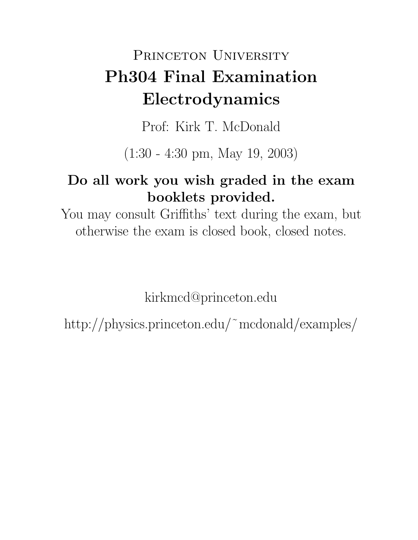# PRINCETON UNIVERSITY **Ph304 Final Examination Electrodynamics**

Prof: Kirk T. McDonald

(1:30 - 4:30 pm, May 19, 2003)

# **Do all work you wish graded in the exam booklets provided.**

You may consult Griffiths' text during the exam, but otherwise the exam is closed book, closed notes.

kirkmcd@princeton.edu

http://physics.princeton.edu/˜mcdonald/examples/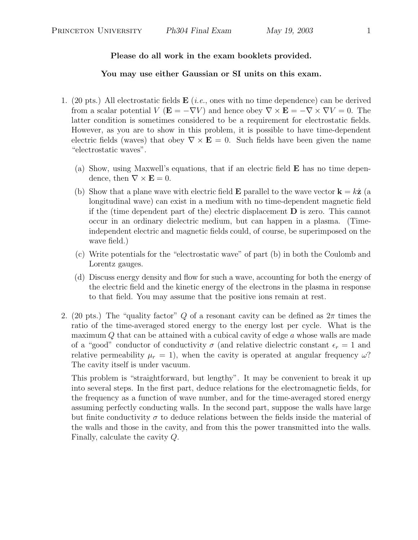#### **Please do all work in the exam booklets provided.**

#### **You may use either Gaussian or SI units on this exam.**

- 1. (20 pts.) All electrostatic fields **E** (*i.e.*, ones with no time dependence) can be derived from a scalar potential  $V$  ( $\mathbf{E} = -\nabla V$ ) and hence obey  $\nabla \times \mathbf{E} = -\nabla \times \nabla V = 0$ . The latter condition is sometimes considered to be a requirement for electrostatic fields. However, as you are to show in this problem, it is possible to have time-dependent electric fields (waves) that obey  $\nabla \times \mathbf{E} = 0$ . Such fields have been given the name "electrostatic waves".
	- (a) Show, using Maxwell's equations, that if an electric field **E** has no time dependence, then  $\nabla \times \mathbf{E} = 0$ .
	- (b) Show that a plane wave with electric field **E** parallel to the wave vector  $\mathbf{k} = k\hat{\mathbf{z}}$  (a longitudinal wave) can exist in a medium with no time-dependent magnetic field if the (time dependent part of the) electric displacement **D** is zero. This cannot occur in an ordinary dielectric medium, but can happen in a plasma. (Timeindependent electric and magnetic fields could, of course, be superimposed on the wave field.)
	- (c) Write potentials for the "electrostatic wave" of part (b) in both the Coulomb and Lorentz gauges.
	- (d) Discuss energy density and flow for such a wave, accounting for both the energy of the electric field and the kinetic energy of the electrons in the plasma in response to that field. You may assume that the positive ions remain at rest.
- 2. (20 pts.) The "quality factor" Q of a resonant cavity can be defined as  $2\pi$  times the ratio of the time-averaged stored energy to the energy lost per cycle. What is the maximum Q that can be attained with a cubical cavity of edge a whose walls are made of a "good" conductor of conductivity  $\sigma$  (and relative dielectric constant  $\epsilon_r = 1$  and relative permeability  $\mu_r = 1$ , when the cavity is operated at angular frequency  $\omega$ ? The cavity itself is under vacuum.

This problem is "straightforward, but lengthy". It may be convenient to break it up into several steps. In the first part, deduce relations for the electromagnetic fields, for the frequency as a function of wave number, and for the time-averaged stored energy assuming perfectly conducting walls. In the second part, suppose the walls have large but finite conductivity  $\sigma$  to deduce relations between the fields inside the material of the walls and those in the cavity, and from this the power transmitted into the walls. Finally, calculate the cavity Q.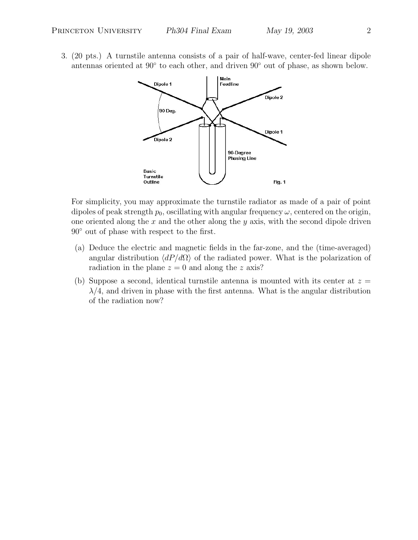3. (20 pts.) A turnstile antenna consists of a pair of half-wave, center-fed linear dipole antennas oriented at 90◦ to each other, and driven 90◦ out of phase, as shown below.



For simplicity, you may approximate the turnstile radiator as made of a pair of point dipoles of peak strength  $p_0$ , oscillating with angular frequency  $\omega$ , centered on the origin, one oriented along the  $x$  and the other along the  $y$  axis, with the second dipole driven 90◦ out of phase with respect to the first.

- (a) Deduce the electric and magnetic fields in the far-zone, and the (time-averaged) angular distribution  $\langle dP/d\Omega \rangle$  of the radiated power. What is the polarization of radiation in the plane  $z = 0$  and along the z axis?
- (b) Suppose a second, identical turnstile antenna is mounted with its center at  $z =$  $\lambda/4$ , and driven in phase with the first antenna. What is the angular distribution of the radiation now?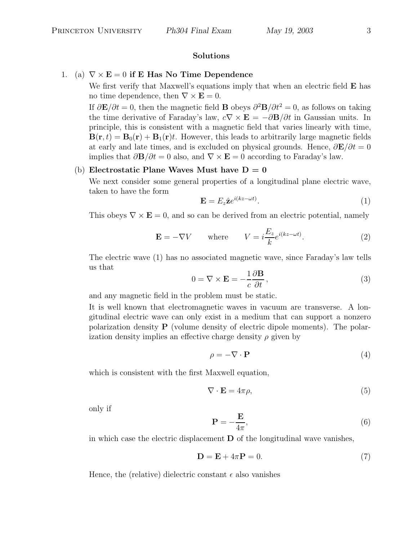#### **Solutions**

## 1. (a)  $\nabla \times \mathbf{E} = 0$  if **E** Has No Time Dependence

We first verify that Maxwell's equations imply that when an electric field **E** has no time dependence, then  $\nabla \times \mathbf{E} = 0$ .

If  $\partial \mathbf{E}/\partial t = 0$ , then the magnetic field **B** obeys  $\partial^2 \mathbf{B}/\partial t^2 = 0$ , as follows on taking the time derivative of Faraday's law,  $c\nabla \times \mathbf{E} = -\partial \mathbf{B}/\partial t$  in Gaussian units. In principle, this is consistent with a magnetic field that varies linearly with time,  $\mathbf{B}(\mathbf{r},t) = \mathbf{B}_0(\mathbf{r}) + \mathbf{B}_1(\mathbf{r})t$ . However, this leads to arbitrarily large magnetic fields at early and late times, and is excluded on physical grounds. Hence,  $\frac{\partial \mathbf{E}}{\partial t} = 0$ implies that  $\partial \mathbf{B}/\partial t = 0$  also, and  $\nabla \times \mathbf{E} = 0$  according to Faraday's law.

### (b) **Electrostatic Plane Waves Must have**  $D = 0$

We next consider some general properties of a longitudinal plane electric wave, taken to have the form

$$
\mathbf{E} = E_z \hat{\mathbf{z}} e^{i(kz - \omega t)}.
$$
 (1)

This obeys  $\nabla \times \mathbf{E} = 0$ , and so can be derived from an electric potential, namely

$$
\mathbf{E} = -\nabla V \qquad \text{where} \qquad V = i \frac{E_z}{k} e^{i(kz - \omega t)}.
$$
 (2)

The electric wave (1) has no associated magnetic wave, since Faraday's law tells us that ∂**B**

$$
0 = \nabla \times \mathbf{E} = -\frac{1}{c} \frac{\partial \mathbf{B}}{\partial t},
$$
\n(3)

and any magnetic field in the problem must be static.

It is well known that electromagnetic waves in vacuum are transverse. A longitudinal electric wave can only exist in a medium that can support a nonzero polarization density **P** (volume density of electric dipole moments). The polarization density implies an effective charge density  $\rho$  given by

$$
\rho = -\nabla \cdot \mathbf{P} \tag{4}
$$

which is consistent with the first Maxwell equation,

$$
\nabla \cdot \mathbf{E} = 4\pi \rho,\tag{5}
$$

only if

$$
\mathbf{P} = -\frac{\mathbf{E}}{4\pi},\tag{6}
$$

in which case the electric displacement  $\bf{D}$  of the longitudinal wave vanishes,

$$
\mathbf{D} = \mathbf{E} + 4\pi \mathbf{P} = 0. \tag{7}
$$

Hence, the (relative) dielectric constant  $\epsilon$  also vanishes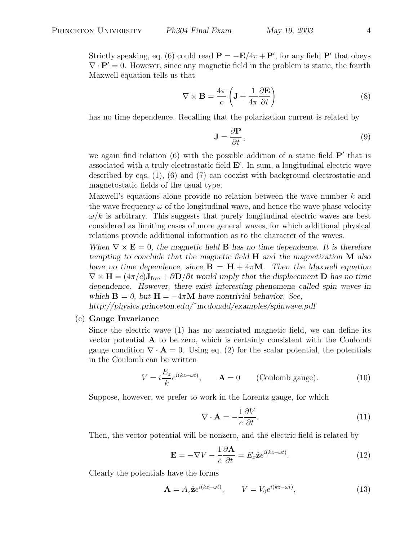Strictly speaking, eq. (6) could read  $\mathbf{P} = -\mathbf{E}/4\pi + \mathbf{P}'$ , for any field  $\mathbf{P}'$  that obeys  $\nabla \cdot \mathbf{P}' = 0$ . However, since any magnetic field in the problem is static, the fourth Maxwell equation tells us that

$$
\nabla \times \mathbf{B} = \frac{4\pi}{c} \left( \mathbf{J} + \frac{1}{4\pi} \frac{\partial \mathbf{E}}{\partial t} \right)
$$
 (8)

has no time dependence. Recalling that the polarization current is related by

$$
\mathbf{J} = \frac{\partial \mathbf{P}}{\partial t},\tag{9}
$$

we again find relation  $(6)$  with the possible addition of a static field  $P'$  that is associated with a truly electrostatic field **E** . In sum, a longitudinal electric wave described by eqs. (1), (6) and (7) can coexist with background electrostatic and magnetostatic fields of the usual type.

Maxwell's equations alone provide no relation between the wave number k and the wave frequency  $\omega$  of the longitudinal wave, and hence the wave phase velocity  $\omega/k$  is arbitrary. This suggests that purely longitudinal electric waves are best considered as limiting cases of more general waves, for which additional physical relations provide additional information as to the character of the waves.

*When*  $\nabla \times \mathbf{E} = 0$ , the magnetic field **B** has no time dependence. It is therefore *tempting to conclude that the magnetic field* **H** *and the magnetization* **M** *also have no time dependence, since*  $\mathbf{B} = \mathbf{H} + 4\pi\mathbf{M}$ *. Then the Maxwell equation*  $\nabla \times \mathbf{H} = (4\pi/c)\mathbf{J}_{\text{free}} + \partial \mathbf{D}/\partial t$  would imply that the displacement **D** has no time *dependence. However, there exist interesting phenomena called spin waves in which*  $\mathbf{B} = 0$ , but  $\mathbf{H} = -4\pi \mathbf{M}$  *have nontrivial behavior. See,* 

*http://physics.princeton.edu/*˜*mcdonald/examples/spinwave.pdf*

(c) **Gauge Invariance**

Since the electric wave (1) has no associated magnetic field, we can define its vector potential **A** to be zero, which is certainly consistent with the Coulomb gauge condition  $\nabla \cdot \mathbf{A} = 0$ . Using eq. (2) for the scalar potential, the potentials in the Coulomb can be written

$$
V = i\frac{E_z}{k}e^{i(kz - \omega t)}, \qquad \mathbf{A} = 0 \qquad \text{(Coulomb gauge).} \tag{10}
$$

Suppose, however, we prefer to work in the Lorentz gauge, for which

$$
\nabla \cdot \mathbf{A} = -\frac{1}{c} \frac{\partial V}{\partial t}.
$$
 (11)

Then, the vector potential will be nonzero, and the electric field is related by

$$
\mathbf{E} = -\nabla V - \frac{1}{c} \frac{\partial \mathbf{A}}{\partial t} = E_x \hat{\mathbf{z}} e^{i(kz - \omega t)}.
$$
 (12)

Clearly the potentials have the forms

$$
\mathbf{A} = A_z \hat{\mathbf{z}} e^{i(kz - \omega t)}, \qquad V = V_0 e^{i(kz - \omega t)}, \tag{13}
$$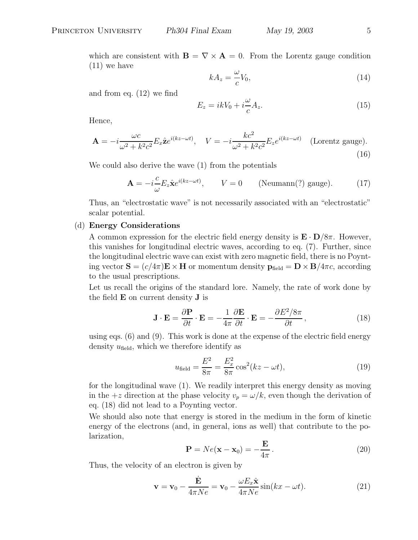which are consistent with  $\mathbf{B} = \nabla \times \mathbf{A} = 0$ . From the Lorentz gauge condition (11) we have

$$
kA_z = \frac{\omega}{c}V_0,\tag{14}
$$

and from eq. (12) we find

$$
E_z = ikV_0 + i\frac{\omega}{c}A_z.
$$
\n(15)

Hence,

$$
\mathbf{A} = -i \frac{\omega c}{\omega^2 + k^2 c^2} E_x \hat{\mathbf{z}} e^{i(kz - \omega t)}, \quad V = -i \frac{k c^2}{\omega^2 + k^2 c^2} E_z e^{i(kz - \omega t)} \quad \text{(Lorentz gauge)}.
$$
\n(16)

We could also derive the wave (1) from the potentials

$$
\mathbf{A} = -i\frac{c}{\omega} E_z \hat{\mathbf{x}} e^{i(kz - \omega t)}, \qquad V = 0 \qquad \text{(Neumann?)} \text{ gauge).} \tag{17}
$$

Thus, an "electrostatic wave" is not necessarily associated with an "electrostatic" scalar potential.

#### (d) **Energy Considerations**

A common expression for the electric field energy density is  $\mathbf{E} \cdot \mathbf{D}/8\pi$ . However, this vanishes for longitudinal electric waves, according to eq. (7). Further, since the longitudinal electric wave can exist with zero magnetic field, there is no Poynting vector  $\mathbf{S} = (c/4\pi)\mathbf{E} \times \mathbf{H}$  or momentum density  $\mathbf{p}_{\text{field}} = \mathbf{D} \times \mathbf{B}/4\pi c$ , according to the usual prescriptions.

Let us recall the origins of the standard lore. Namely, the rate of work done by the field **E** on current density **J** is

$$
\mathbf{J} \cdot \mathbf{E} = \frac{\partial \mathbf{P}}{\partial t} \cdot \mathbf{E} = -\frac{1}{4\pi} \frac{\partial \mathbf{E}}{\partial t} \cdot \mathbf{E} = -\frac{\partial E^2 / 8\pi}{\partial t},
$$
(18)

using eqs. (6) and (9). This work is done at the expense of the electric field energy density  $u_{\text{field}}$ , which we therefore identify as

$$
u_{\text{field}} = \frac{E^2}{8\pi} = \frac{E_x^2}{8\pi} \cos^2(kz - \omega t),
$$
 (19)

for the longitudinal wave (1). We readily interpret this energy density as moving in the  $+z$  direction at the phase velocity  $v_p = \omega/k$ , even though the derivation of eq. (18) did not lead to a Poynting vector.

We should also note that energy is stored in the medium in the form of kinetic energy of the electrons (and, in general, ions as well) that contribute to the polarization,

$$
\mathbf{P} = Ne(\mathbf{x} - \mathbf{x}_0) = -\frac{\mathbf{E}}{4\pi}.
$$
 (20)

Thus, the velocity of an electron is given by

$$
\mathbf{v} = \mathbf{v}_0 - \frac{\dot{\mathbf{E}}}{4\pi Ne} = \mathbf{v}_0 - \frac{\omega E_x \hat{\mathbf{x}}}{4\pi Ne} \sin(kx - \omega t).
$$
 (21)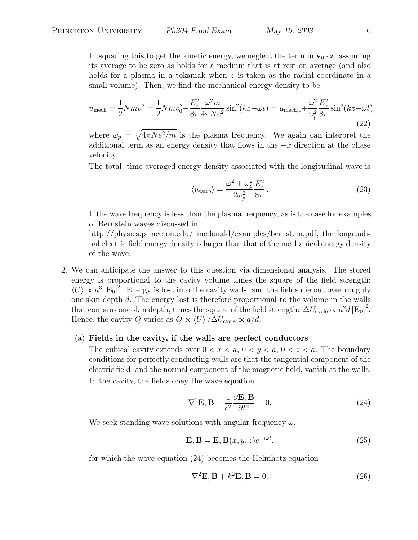In squaring this to get the kinetic energy, we neglect the term in  $\mathbf{v}_0 \cdot \hat{\mathbf{z}}$ , assuming its average to be zero as holds for a medium that is at rest on average (and also holds for a plasma in a tokamak when z is taken as the radial coordinate in a small volume). Then, we find the mechanical energy density to be

$$
u_{\text{mech}} = \frac{1}{2} N m v^2 = \frac{1}{2} N m v_0^2 + \frac{E_z^2}{8\pi} \frac{\omega^2 m}{4\pi N e^2} \sin^2(kz - \omega t) = u_{\text{mech},0} + \frac{\omega^2}{\omega_p^2} \frac{E_x^2}{8\pi} \sin^2(kz - \omega t),\tag{22}
$$

where  $\omega_p = \sqrt{4\pi Ne^2/m}$  is the plasma frequency. We again can interpret the additional term as an energy density that flows in the  $+x$  direction at the phase velocity.

The total, time-averaged energy density associated with the longitudinal wave is

$$
\langle u_{\text{wave}} \rangle = \frac{\omega^2 + \omega_p^2}{2\omega_p^2} \frac{E_z^2}{8\pi} \,. \tag{23}
$$

If the wave frequency is less than the plasma frequency, as is the case for examples of Bernstein waves discussed in

 $\mathbf{r}$ 

http://physics.princeton.edu/~mcdonald/examples/bernstein.pdf, the longitudinal electric field energy density is larger than that of the mechanical energy density of the wave.

2. We can anticipate the answer to this question via dimensional analysis. The stored energy is proportional to the cavity volume times the square of the field strength:  $\langle U \rangle \propto a^3 |\mathbf{E}_0|^2$ . Energy is lost into the cavity walls, and the fields die out over roughly one skin depth d. The energy lost is therefore proportional to the volume in the walls that contains one skin depth, times the square of the field strength:  $\Delta U_{\text{cycle}} \propto a^2 d |\mathbf{E}_0|^2$ . Hence, the cavity Q varies as  $Q \propto \langle U \rangle / \Delta U_{\text{cycle}} \propto a/d$ .

#### (a) **Fields in the cavity, if the walls are perfect conductors**

The cubical cavity extends over  $0 < x < a, 0 < y < a, 0 < z < a$ . The boundary conditions for perfectly conducting walls are that the tangential component of the electric field, and the normal component of the magnetic field, vanish at the walls. In the cavity, the fields obey the wave equation

$$
\nabla^2 \mathbf{E}, \mathbf{B} + \frac{1}{c^2} \frac{\partial \mathbf{E}, \mathbf{B}}{\partial t^2} = 0.
$$
 (24)

We seek standing-wave solutions with angular frequency  $\omega$ ,

$$
\mathbf{E}, \mathbf{B} = \mathbf{E}, \mathbf{B}(x, y, z)e^{-i\omega t}, \tag{25}
$$

for which the wave equation (24) becomes the Helmhotz equation

$$
\nabla^2 \mathbf{E}, \mathbf{B} + k^2 \mathbf{E}, \mathbf{B} = 0,
$$
\n(26)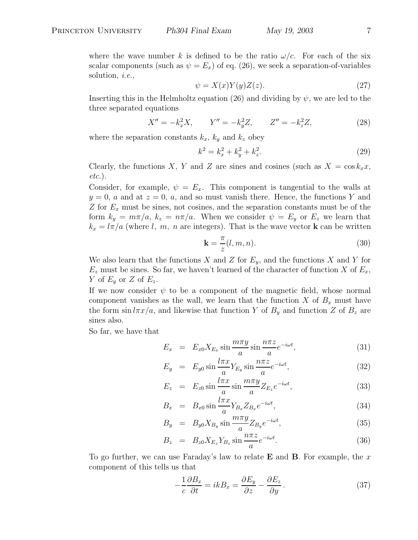$$
\psi = X(x)Y(y)Z(z). \tag{27}
$$

Inserting this in the Helmholtz equation (26) and dividing by  $\psi$ , we are led to the three separated equations

$$
X'' = -k_x^2 X, \qquad Y'' = -k_y^2 Z, \qquad Z'' = -k_z^2 Z,\tag{28}
$$

where the separation constants  $k_x$ ,  $k_y$  and  $k_z$  obey

$$
k^2 = k_x^2 + k_y^2 + k_z^2.
$$
 (29)

Clearly, the functions X, Y and Z are sines and cosines (such as  $X = \cos k_x x$ , *etc.*).

Consider, for example,  $\psi = E_x$ . This component is tangential to the walls at  $y = 0$ , a and at  $z = 0$ , a, and so must vanish there. Hence, the functions Y and Z for  $E_x$  must be sines, not cosines, and the separation constants must be of the form  $k_y = m\pi/a$ ,  $k_z = n\pi/a$ . When we consider  $\psi = E_y$  or  $E_z$  we learn that  $k_x = l\pi/a$  (where l, m, n are integers). That is the wave vector **k** can be written

$$
\mathbf{k} = \frac{\pi}{z}(l, m, n). \tag{30}
$$

We also learn that the functions X and Z for  $E_y$ , and the functions X and Y for  $E_z$  must be sines. So far, we haven't learned of the character of function X of  $E_x$ , Y of  $E_y$  or Z of  $E_z$ .

If we now consider  $\psi$  to be a component of the magnetic field, whose normal component vanishes as the wall, we learn that the function X of  $B_x$  must have the form  $\sin \frac{1}{\pi x/a}$ , and likewise that function Y of  $B_y$  and function Z of  $B_z$  are sines also.

So far, we have that

$$
E_x = E_{x0} X_{E_x} \sin \frac{m\pi y}{a} \sin \frac{n\pi z}{a} e^{-i\omega t}, \qquad (31)
$$

$$
E_y = E_{y0} \sin \frac{l\pi x}{a} Y_{E_y} \sin \frac{n\pi z}{a} e^{-i\omega t}, \qquad (32)
$$

$$
E_z = E_{z0} \sin \frac{l\pi x}{a} \sin \frac{m\pi y}{a} Z_{E_z} e^{-i\omega t}, \qquad (33)
$$

$$
B_x = B_{x0} \sin \frac{l\pi x}{a} Y_{B_x} Z_{B_x} e^{-i\omega t}, \qquad (34)
$$

$$
B_y = B_{y0} X_{B_y} \sin \frac{m \pi y}{a} Z_{B_y} e^{-i\omega t}, \qquad (35)
$$

$$
B_z = B_{z0} X_{E_z} Y_{B_z} \sin \frac{n \pi z}{a} e^{-i\omega t}.
$$
 (36)

To go further, we can use Faraday's law to relate **E** and **B**. For example, the x component of this tells us that

$$
-\frac{1}{c}\frac{\partial B_x}{\partial t} = ikB_x = \frac{\partial E_y}{\partial z} - \frac{\partial E_z}{\partial y}.
$$
 (37)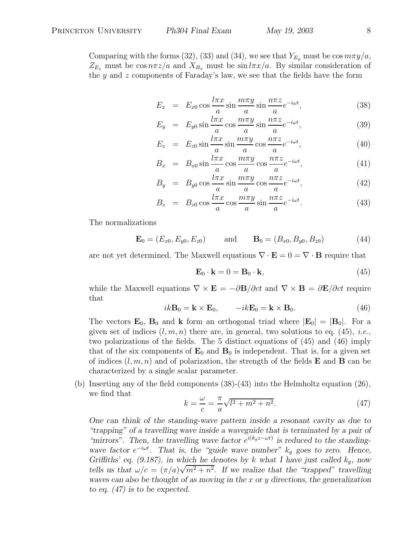Comparing with the forms (32), (33) and (34), we see that  $Y_{E_u}$  must be  $\cos m\pi y/a$ ,  $Z_{E_z}$  must be  $\cos n\pi z/a$  and  $X_{B_x}$  must be  $\sin l\pi x/a$ . By similar consideration of the y and z components of Faraday's law, we see that the fields have the form

$$
E_x = E_{x0} \cos \frac{l \pi x}{a} \sin \frac{m \pi y}{a} \sin \frac{n \pi z}{a} e^{-i \omega t}, \qquad (38)
$$

$$
E_y = E_{y0} \sin \frac{l\pi x}{a} \cos \frac{m\pi y}{a} \sin \frac{n\pi z}{a} e^{-i\omega t}, \qquad (39)
$$

$$
E_z = E_{z0} \sin \frac{l\pi x}{a} \sin \frac{m\pi y}{a} \cos \frac{n\pi z}{a} e^{-i\omega t}, \qquad (40)
$$

$$
B_x = B_{x0} \sin \frac{l\pi x}{a} \cos \frac{m\pi y}{a} \cos \frac{n\pi z}{a} e^{-i\omega t}, \tag{41}
$$

$$
B_y = B_{y0} \cos \frac{l\pi x}{a} \sin \frac{m\pi y}{a} \cos \frac{n\pi z}{a} e^{-i\omega t}, \qquad (42)
$$

$$
B_z = B_{z0} \cos \frac{l\pi x}{a} \cos \frac{m\pi y}{a} \sin \frac{n\pi z}{a} e^{-i\omega t}.
$$
 (43)

The normalizations

$$
\mathbf{E}_0 = (E_{x0}, E_{y0}, E_{z0}) \quad \text{and} \quad \mathbf{B}_0 = (B_{x0}, B_{y0}, B_{z0}) \quad (44)
$$

are not yet determined. The Maxwell equations  $\nabla \cdot \mathbf{E} = 0 = \nabla \cdot \mathbf{B}$  require that

$$
\mathbf{E}_0 \cdot \mathbf{k} = 0 = \mathbf{B}_0 \cdot \mathbf{k},\tag{45}
$$

while the Maxwell equations  $\nabla \times \mathbf{E} = -\partial \mathbf{B}/\partial ct$  and  $\nabla \times \mathbf{B} = \partial \mathbf{E}/\partial ct$  require that

$$
ik\mathbf{B}_0 = \mathbf{k} \times \mathbf{E}_0, \qquad -ik\mathbf{E}_0 = \mathbf{k} \times \mathbf{B}_0.
$$
 (46)

The vectors  $\mathbf{E}_0$ ,  $\mathbf{B}_0$  and **k** form an orthogonal triad where  $|\mathbf{E}_0| = |\mathbf{B}_0|$ . For a given set of indices  $(l, m, n)$  there are, in general, two solutions to eq. (45), *i.e.*, two polarizations of the fields. The 5 distinct equations of (45) and (46) imply that of the six components of  $\mathbf{E}_0$  and  $\mathbf{B}_0$  is independent. That is, for a given set of indices  $(l, m, n)$  and of polarization, the strength of the fields **E** and **B** can be characterized by a single scalar parameter.

(b) Inserting any of the field components (38)-(43) into the Helmholtz equation (26), we find that

$$
k = -\frac{\omega}{c} = -\frac{\pi}{a}\sqrt{l^2 + m^2 + n^2}.
$$
 (47)

*One can think of the standing-wave pattern inside a resonant cavity as due to "trapping" of a travelling wave inside a waveguide that is terminated by a pair of "mirrors". Then, the travelling wave factor*  $e^{i(k_g z - \omega t)}$  *is reduced to the standingwave factor*  $e^{-i\omega t}$ *. That is, the "guide wave number"*  $k_g$  *goes to zero. Hence, Griffiths' eq. (9.187), in which he denotes by* k what I have just called  $k_g$ , now *tells us that*  $\omega/c = (\pi/a)\sqrt{m^2 + n^2}$ . If we realize that the "trapped" travelling *waves can also be thought of as moving in the* x *or* y *directions, the generalization to eq. (47) is to be expected.*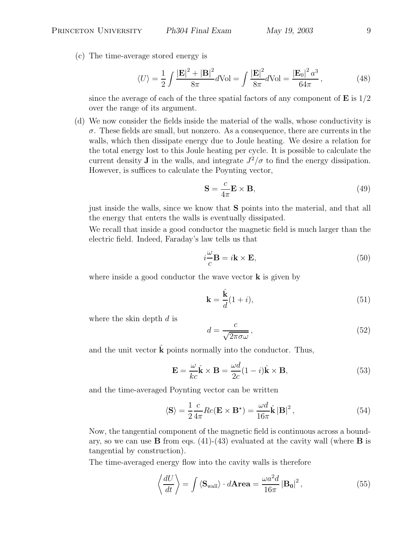(c) The time-average stored energy is

$$
\langle U \rangle = \frac{1}{2} \int \frac{|\mathbf{E}|^2 + |\mathbf{B}|^2}{8\pi} d\text{Vol} = \int \frac{|\mathbf{E}|^2}{8\pi} d\text{Vol} = \frac{|\mathbf{E}_0|^2 a^3}{64\pi},\tag{48}
$$

since the average of each of the three spatial factors of any component of **E** is 1/2 over the range of its argument.

(d) We now consider the fields inside the material of the walls, whose conductivity is  $\sigma$ . These fields are small, but nonzero. As a consequence, there are currents in the walls, which then dissipate energy due to Joule heating. We desire a relation for the total energy lost to this Joule heating per cycle. It is possible to calculate the current density **J** in the walls, and integrate  $J^2/\sigma$  to find the energy dissipation. However, is suffices to calculate the Poynting vector,

$$
\mathbf{S} = \frac{c}{4\pi} \mathbf{E} \times \mathbf{B},\tag{49}
$$

just inside the walls, since we know that **S** points into the material, and that all the energy that enters the walls is eventually dissipated.

We recall that inside a good conductor the magnetic field is much larger than the electric field. Indeed, Faraday's law tells us that

$$
i\frac{\omega}{c}\mathbf{B} = i\mathbf{k} \times \mathbf{E},\tag{50}
$$

where inside a good conductor the wave vector **k** is given by

$$
\mathbf{k} = \frac{\hat{\mathbf{k}}}{d}(1+i),\tag{51}
$$

where the skin depth  $d$  is

$$
d = \frac{c}{\sqrt{2\pi\sigma\omega}},\tag{52}
$$

and the unit vector  $\bf{k}$  points normally into the conductor. Thus,

$$
\mathbf{E} = \frac{\omega}{kc}\hat{\mathbf{k}} \times \mathbf{B} = \frac{\omega d}{2c}(1-i)\hat{\mathbf{k}} \times \mathbf{B},
$$
\n(53)

and the time-averaged Poynting vector can be written

$$
\langle \mathbf{S} \rangle = \frac{1}{2} \frac{c}{4\pi} Re(\mathbf{E} \times \mathbf{B}^*) = \frac{\omega d}{16\pi} \hat{\mathbf{k}} |\mathbf{B}|^2, \qquad (54)
$$

Now, the tangential component of the magnetic field is continuous across a boundary, so we can use **B** from eqs. (41)-(43) evaluated at the cavity wall (where **B** is tangential by construction).

The time-averaged energy flow into the cavity walls is therefore

$$
\left\langle \frac{dU}{dt} \right\rangle = \int \left\langle \mathbf{S}_{\text{wall}} \right\rangle \cdot d\mathbf{Area} = \frac{\omega a^2 d}{16\pi} \left| \mathbf{B_0} \right|^2, \tag{55}
$$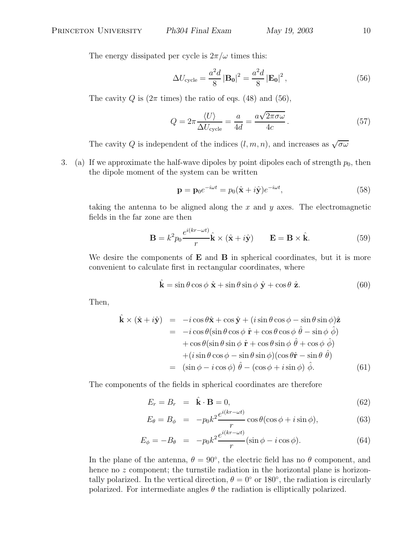The energy dissipated per cycle is  $2\pi/\omega$  times this:

$$
\Delta U_{\text{cycle}} = \frac{a^2 d}{8} |\mathbf{B_0}|^2 = \frac{a^2 d}{8} |\mathbf{E_0}|^2, \qquad (56)
$$

The cavity Q is  $(2\pi \text{ times})$  the ratio of eqs. (48) and (56),

$$
Q = 2\pi \frac{\langle U \rangle}{\Delta U_{\text{cycle}}} = \frac{a}{4d} = \frac{a\sqrt{2\pi\sigma\omega}}{4c}.
$$
 (57)

The cavity Q is independent of the indices  $(l, m, n)$ , and increases as  $\sqrt{\sigma \omega}$ 

3. (a) If we approximate the half-wave dipoles by point dipoles each of strength  $p_0$ , then the dipole moment of the system can be written

$$
\mathbf{p} = \mathbf{p}_0 e^{-i\omega t} = p_0 (\hat{\mathbf{x}} + i\hat{\mathbf{y}}) e^{-i\omega t},
$$
\n(58)

taking the antenna to be aligned along the  $x$  and  $y$  axes. The electromagnetic fields in the far zone are then

$$
\mathbf{B} = k^2 p_0 \frac{e^{i(kr - \omega t)}}{r} \hat{\mathbf{k}} \times (\hat{\mathbf{x}} + i\hat{\mathbf{y}}) \qquad \mathbf{E} = \mathbf{B} \times \hat{\mathbf{k}}.
$$
 (59)

We desire the components of **E** and **B** in spherical coordinates, but it is more convenient to calculate first in rectangular coordinates, where

$$
\hat{\mathbf{k}} = \sin \theta \cos \phi \ \hat{\mathbf{x}} + \sin \theta \sin \phi \ \hat{\mathbf{y}} + \cos \theta \ \hat{\mathbf{z}}.
$$
 (60)

Then,

$$
\hat{\mathbf{k}} \times (\hat{\mathbf{x}} + i\hat{\mathbf{y}}) = -i\cos\theta\hat{\mathbf{x}} + \cos\hat{\mathbf{y}} + (i\sin\theta\cos\phi - \sin\theta\sin\phi)\hat{\mathbf{z}} \n= -i\cos\theta(\sin\theta\cos\phi\hat{\mathbf{r}} + \cos\theta\cos\phi\hat{\theta} - \sin\phi\hat{\phi}) \n+ \cos\theta(\sin\theta\sin\phi\hat{\mathbf{r}} + \cos\theta\sin\phi\hat{\theta} + \cos\phi\hat{\phi}) \n+ (i\sin\theta\cos\phi - \sin\theta\sin\phi)(\cos\theta\hat{\mathbf{r}} - \sin\theta\hat{\theta}) \n= (\sin\phi - i\cos\phi)\hat{\theta} - (\cos\phi + i\sin\phi)\hat{\phi}.
$$
\n(61)

The components of the fields in spherical coordinates are therefore

$$
E_r = B_r = \hat{\mathbf{k}} \cdot \mathbf{B} = 0,
$$
\n(62)

$$
E_{\theta} = B_{\phi} = -p_0 k^2 \frac{e^{i(kr - \omega t)}}{r} \cos \theta (\cos \phi + i \sin \phi), \tag{63}
$$

$$
E_{\phi} = -B_{\theta} = -p_0 k^2 \frac{e^{i(kr - \omega t)}}{r} (\sin \phi - i \cos \phi). \tag{64}
$$

In the plane of the antenna,  $\theta = 90^{\circ}$ , the electric field has no  $\theta$  component, and hence no  $z$  component; the turnstile radiation in the horizontal plane is horizontally polarized. In the vertical direction,  $\theta = 0^{\circ}$  or 180 $^{\circ}$ , the radiation is circularly polarized. For intermediate angles  $\theta$  the radiation is elliptically polarized.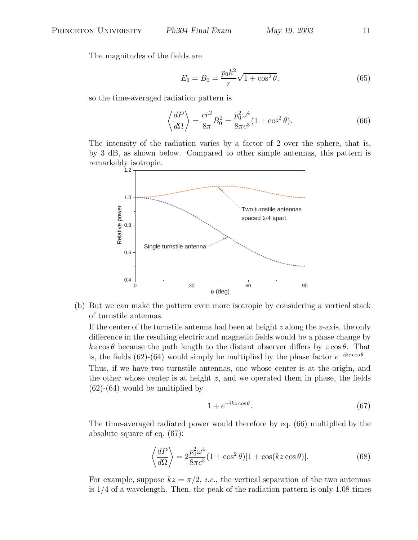The magnitudes of the fields are

$$
E_0 = B_0 = \frac{p_0 k^2}{r} \sqrt{1 + \cos^2 \theta},\tag{65}
$$

so the time-averaged radiation pattern is

$$
\left\langle \frac{dP}{d\Omega} \right\rangle = \frac{cr^2}{8\pi} B_0^2 = \frac{p_0^2 \omega^4}{8\pi c^3} (1 + \cos^2 \theta). \tag{66}
$$

The intensity of the radiation varies by a factor of 2 over the sphere, that is, by 3 dB, as shown below. Compared to other simple antennas, this pattern is remarkably isotropic.



(b) But we can make the pattern even more isotropic by considering a vertical stack of turnstile antennas.

If the center of the turnstile antenna had been at height  $z$  along the  $z$ -axis, the only difference in the resulting electric and magnetic fields would be a phase change by  $kz \cos \theta$  because the path length to the distant observer differs by  $z \cos \theta$ . That is, the fields (62)-(64) would simply be multiplied by the phase factor  $e^{-ikz\cos\theta}$ .

Thus, if we have two turnstile antennas, one whose center is at the origin, and the other whose center is at height z, and we operated them in phase, the fields (62)-(64) would be multiplied by

$$
1 + e^{-ikz\cos\theta}.\tag{67}
$$

The time-averaged radiated power would therefore by eq. (66) multiplied by the absolute square of eq. (67):

$$
\left\langle \frac{dP}{d\Omega} \right\rangle = 2 \frac{p_0^2 \omega^4}{8\pi c^3} (1 + \cos^2 \theta) [1 + \cos(kz \cos \theta)].
$$
 (68)

For example, suppose  $kz = \pi/2$ , *i.e.*, the vertical separation of the two antennas is 1/4 of a wavelength. Then, the peak of the radiation pattern is only 1.08 times